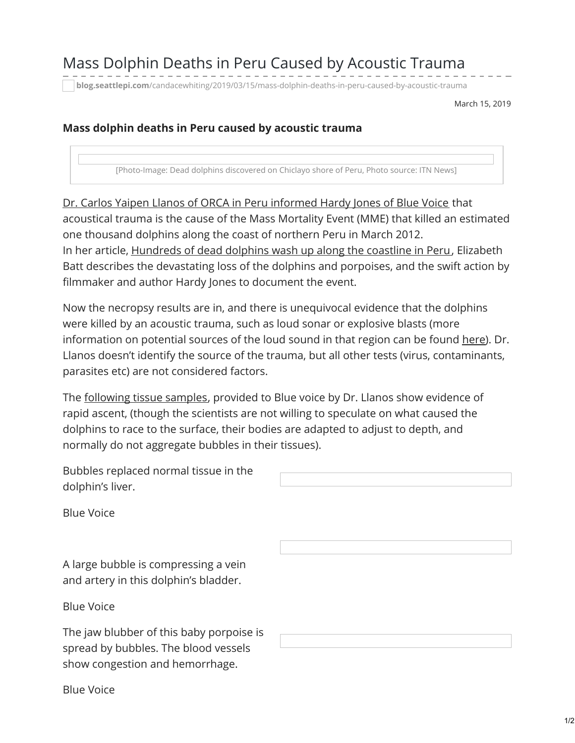## Mass Dolphin Deaths in Peru Caused by Acoustic Trauma

**blog.seattlepi.com**[/candacewhiting/2019/03/15/mass-dolphin-deaths-in-peru-caused-by-acoustic-trauma](https://blog.seattlepi.com/candacewhiting/2019/03/15/mass-dolphin-deaths-in-peru-caused-by-acoustic-trauma/?fbclid=IwAR3en2r1Juka6nS4vU1U8ouUztMpNsMnQfV6kQKXcbH-HWt_L2KYgSLxjas)

March 15, 2019

## **Mass dolphin deaths in Peru caused by acoustic trauma**

[Photo-Image: Dead dolphins discovered on Chiclayo shore of Peru, Photo source: ITN News]

Dr. Carlos Yaipen Llanos of ORCA in Peru [informed](http://www.bluevoice.org/news_perudolphins.php) Hardy Jones of Blue Voice that acoustical trauma is the cause of the Mass Mortality Event (MME) that killed an estimated one thousand dolphins along the coast of northern Peru in March 2012. In her article, [Hundreds](http://digitaljournal.com/article/322052) of dead dolphins wash up along the coastline in Peru, Elizabeth Batt describes the devastating loss of the dolphins and porpoises, and the swift action by filmmaker and author Hardy Jones to document the event.

Now the necropsy results are in, and there is unequivocal evidence that the dolphins were killed by an acoustic trauma, such as loud sonar or explosive blasts (more information on potential sources of the loud sound in that region can be found [here](http://blog.seattlepi.com/candacewhiting/2012/04/03/dolphins-dying-by-the-thousands-in-peru-seismic-surveys-by-oil-companies-and-pollution-suspected)). Dr. Llanos doesn't identify the source of the trauma, but all other tests (virus, contaminants, parasites etc) are not considered factors.

The [following](http://necropsy/) tissue samples, provided to Blue voice by Dr. Llanos show evidence of rapid ascent, (though the scientists are not willing to speculate on what caused the dolphins to race to the surface, their bodies are adapted to adjust to depth, and normally do not aggregate bubbles in their tissues).

Bubbles replaced normal tissue in the dolphin's liver.

Blue Voice

A large bubble is compressing a vein and artery in this dolphin's bladder.

Blue Voice

The jaw blubber of this baby porpoise is spread by bubbles. The blood vessels show congestion and hemorrhage.

Blue Voice